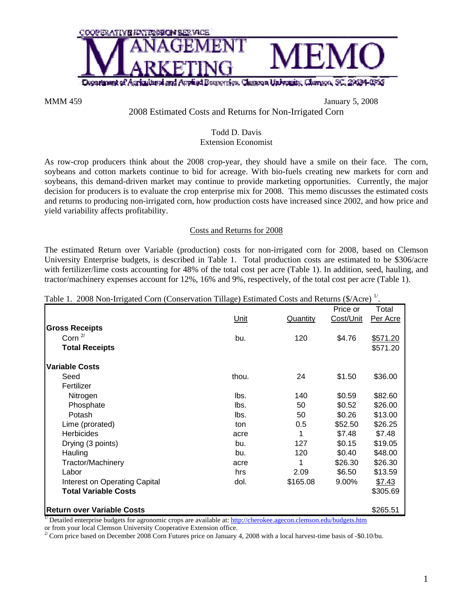

MMM 459 January 5, 2008

# 2008 Estimated Costs and Returns for Non-Irrigated Corn

### Todd D. Davis Extension Economist

As row-crop producers think about the 2008 crop-year, they should have a smile on their face. The corn, soybeans and cotton markets continue to bid for acreage. With bio-fuels creating new markets for corn and soybeans, this demand-driven market may continue to provide marketing opportunities. Currently, the major decision for producers is to evaluate the crop enterprise mix for 2008. This memo discusses the estimated costs and returns to producing non-irrigated corn, how production costs have increased since 2002, and how price and yield variability affects profitability.

### Costs and Returns for 2008

The estimated Return over Variable (production) costs for non-irrigated corn for 2008, based on Clemson University Enterprise budgets, is described in Table 1. Total production costs are estimated to be \$306/acre with fertilizer/lime costs accounting for 48% of the total cost per acre (Table 1). In addition, seed, hauling, and tractor/machinery expenses account for 12%, 16% and 9%, respectively, of the total cost per acre (Table 1).

| Table 1. 2008 Non-Irrigated Corn (Conservation Tillage) Estimated Costs and Returns (\$/Acre) <sup>1</sup> . |  |  |
|--------------------------------------------------------------------------------------------------------------|--|--|
|                                                                                                              |  |  |

| Tubic 1. 2000 From Impared Com (Conservation Timage) Estimated Costs and Returns ( $\varphi/\text{rec}$ )                      |       |          |           |          |
|--------------------------------------------------------------------------------------------------------------------------------|-------|----------|-----------|----------|
|                                                                                                                                |       |          | Price or  | Total    |
|                                                                                                                                | Unit  | Quantity | Cost/Unit | Per Acre |
| <b>Gross Receipts</b>                                                                                                          |       |          |           |          |
| Corn $2/$                                                                                                                      | bu.   | 120      | \$4.76    | \$571.20 |
| <b>Total Receipts</b>                                                                                                          |       |          |           | \$571.20 |
| <b>Variable Costs</b>                                                                                                          |       |          |           |          |
| Seed                                                                                                                           | thou. | 24       | \$1.50    | \$36.00  |
| Fertilizer                                                                                                                     |       |          |           |          |
| Nitrogen                                                                                                                       | lbs.  | 140      | \$0.59    | \$82.60  |
| Phosphate                                                                                                                      | lbs.  | 50       | \$0.52    | \$26.00  |
| Potash                                                                                                                         | lbs.  | 50       | \$0.26    | \$13.00  |
| Lime (prorated)                                                                                                                | ton   | 0.5      | \$52.50   | \$26.25  |
| <b>Herbicides</b>                                                                                                              | acre  | 1        | \$7.48    | \$7.48   |
| Drying (3 points)                                                                                                              | bu.   | 127      | \$0.15    | \$19.05  |
| Hauling                                                                                                                        | bu.   | 120      | \$0.40    | \$48.00  |
| <b>Tractor/Machinery</b>                                                                                                       | acre  | 1        | \$26.30   | \$26.30  |
| Labor                                                                                                                          | hrs.  | 2.09     | \$6.50    | \$13.59  |
| Interest on Operating Capital                                                                                                  | dol.  | \$165.08 | 9.00%     | \$7.43   |
| <b>Total Variable Costs</b>                                                                                                    |       |          |           | \$305.69 |
| <b>Return over Variable Costs</b>                                                                                              |       |          |           | \$265.51 |
| <sup>1/</sup> Detailed enterprise budgets for agronomic crops are available at: http://cherokee.agecon.clemson.edu/budgets.htm |       |          |           |          |

or from your local Clemson University Cooperative Extension office.

 $^{27}$  Corn price based on December 2008 Corn Futures price on January 4, 2008 with a local harvest-time basis of -\$0.10/bu.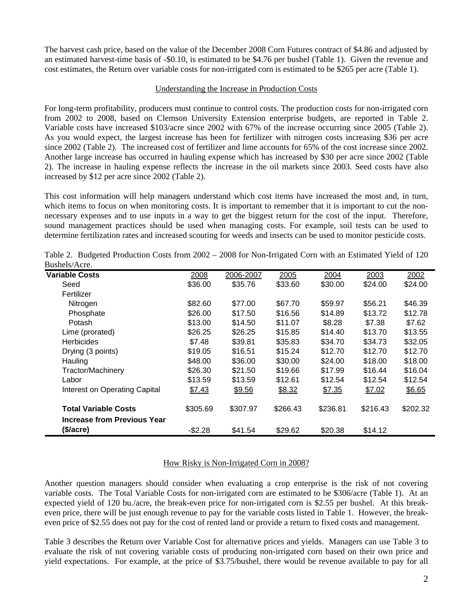The harvest cash price, based on the value of the December 2008 Corn Futures contract of \$4.86 and adjusted by an estimated harvest-time basis of -\$0.10, is estimated to be \$4.76 per bushel (Table 1). Given the revenue and cost estimates, the Return over variable costs for non-irrigated corn is estimated to be \$265 per acre (Table 1).

### Understanding the Increase in Production Costs

For long-term profitability, producers must continue to control costs. The production costs for non-irrigated corn from 2002 to 2008, based on Clemson University Extension enterprise budgets, are reported in Table 2. Variable costs have increased \$103/acre since 2002 with 67% of the increase occurring since 2005 (Table 2). As you would expect, the largest increase has been for fertilizer with nitrogen costs increasing \$36 per acre since 2002 (Table 2). The increased cost of fertilizer and lime accounts for 65% of the cost increase since 2002. Another large increase has occurred in hauling expense which has increased by \$30 per acre since 2002 (Table 2). The increase in hauling expense reflects the increase in the oil markets since 2003. Seed costs have also increased by \$12 per acre since 2002 (Table 2).

This cost information will help managers understand which cost items have increased the most and, in turn, which items to focus on when monitoring costs. It is important to remember that it is important to cut the nonnecessary expenses and to use inputs in a way to get the biggest return for the cost of the input. Therefore, sound management practices should be used when managing costs. For example, soil tests can be used to determine fertilization rates and increased scouting for weeds and insects can be used to monitor pesticide costs.

| DUDIIVID / IVIV.                   |          |           |          |          |          |          |
|------------------------------------|----------|-----------|----------|----------|----------|----------|
| <b>Variable Costs</b>              | 2008     | 2006-2007 | 2005     | 2004     | 2003     | 2002     |
| Seed                               | \$36.00  | \$35.76   | \$33.60  | \$30.00  | \$24.00  | \$24.00  |
| Fertilizer                         |          |           |          |          |          |          |
| Nitrogen                           | \$82.60  | \$77.00   | \$67.70  | \$59.97  | \$56.21  | \$46.39  |
| Phosphate                          | \$26.00  | \$17.50   | \$16.56  | \$14.89  | \$13.72  | \$12.78  |
| <b>Potash</b>                      | \$13.00  | \$14.50   | \$11.07  | \$8.28   | \$7.38   | \$7.62   |
| Lime (prorated)                    | \$26.25  | \$26.25   | \$15.85  | \$14.40  | \$13.70  | \$13.55  |
| <b>Herbicides</b>                  | \$7.48   | \$39.81   | \$35.83  | \$34.70  | \$34.73  | \$32.05  |
| Drying (3 points)                  | \$19.05  | \$16.51   | \$15.24  | \$12.70  | \$12.70  | \$12.70  |
| Hauling                            | \$48.00  | \$36.00   | \$30.00  | \$24.00  | \$18.00  | \$18.00  |
| <b>Tractor/Machinery</b>           | \$26.30  | \$21.50   | \$19.66  | \$17.99  | \$16.44  | \$16.04  |
| Labor                              | \$13.59  | \$13.59   | \$12.61  | \$12.54  | \$12.54  | \$12.54  |
| Interest on Operating Capital      | \$7.43   | \$9.56    | \$8.32   | \$7.35   | \$7.02   | \$6.65   |
| <b>Total Variable Costs</b>        | \$305.69 | \$307.97  | \$266.43 | \$236.81 | \$216.43 | \$202.32 |
| <b>Increase from Previous Year</b> |          |           |          |          |          |          |
| (\$/acre)                          | $-$2.28$ | \$41.54   | \$29.62  | \$20.38  | \$14.12  |          |

Table 2. Budgeted Production Costs from 2002 – 2008 for Non-Irrigated Corn with an Estimated Yield of 120 Bushels/Acre.

## How Risky is Non-Irrigated Corn in 2008?

Another question managers should consider when evaluating a crop enterprise is the risk of not covering variable costs. The Total Variable Costs for non-irrigated corn are estimated to be \$306/acre (Table 1). At an expected yield of 120 bu./acre, the break-even price for non-irrigated corn is \$2.55 per bushel. At this breakeven price, there will be just enough revenue to pay for the variable costs listed in Table 1. However, the breakeven price of \$2.55 does not pay for the cost of rented land or provide a return to fixed costs and management.

Table 3 describes the Return over Variable Cost for alternative prices and yields. Managers can use Table 3 to evaluate the risk of not covering variable costs of producing non-irrigated corn based on their own price and yield expectations. For example, at the price of \$3.75/bushel, there would be revenue available to pay for all